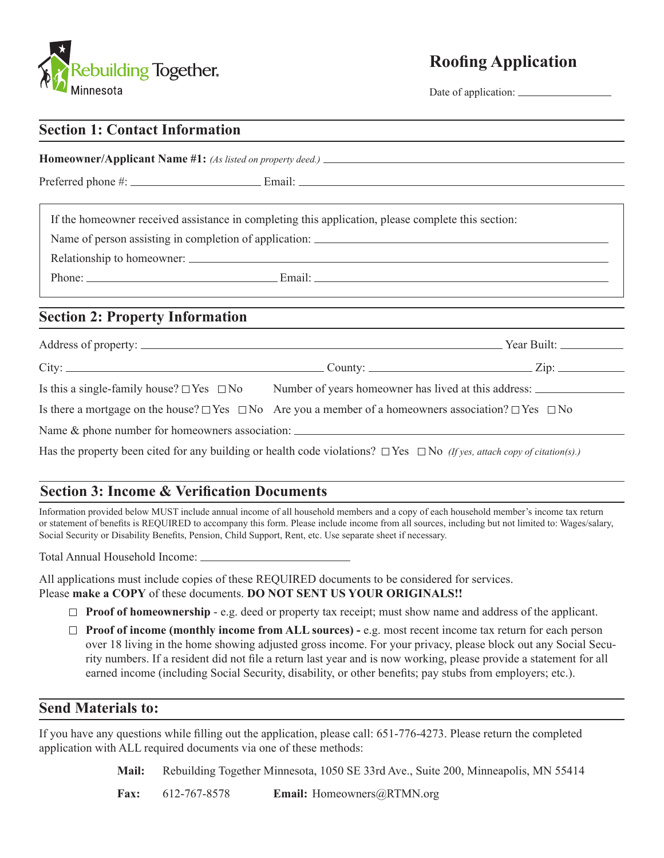

# **Roofing Application**

white-knockout version above version above version above version above version above version above version above version above version above version above version above version above version above version above version abo Date of application: **Section 1: Contact Information Homeowner/Applicant Name #1:** *(As listed on property deed.)* Preferred phone #: Email: If the homeowner received assistance in completing this application, please complete this section: Name of person assisting in completion of application: Relationship to homeowner: Phone: Email: Email: Address of property: Year Built:  $City:$   $Zip:$ Is this a single-family house?  $\Box$  Yes  $\Box$  No Number of years homeowner has lived at this address: Is there a mortgage on the house?  $\Box$  Yes  $\Box$  No Are you a member of a homeowners association?  $\Box$  Yes  $\Box$  No Name & phone number for homeowners association: \_\_\_\_\_\_\_\_\_\_\_\_\_\_\_\_\_\_\_\_\_\_\_\_\_\_\_\_\_\_\_\_ Has the property been cited for any building or health code violations?  $\Box$  Yes  $\Box$  No *(If yes, attach copy of citation(s).)* **Section 2: Property Information**

### **Section 3: Income & Verification Documents**

Information provided below MUST include annual income of all household members and a copy of each household member's income tax return or statement of benefits is REQUIRED to accompany this form. Please include income from all sources, including but not limited to: Wages/salary, Social Security or Disability Benefits, Pension, Child Support, Rent, etc. Use separate sheet if necessary.

Total Annual Household Income:

All applications must include copies of these REQUIRED documents to be considered for services. Please **make a COPY** of these documents. **DO NOT SENT US YOUR ORIGINALS!!**

- **Proof of homeownership**  e.g. deed or property tax receipt; must show name and address of the applicant.
- □ **Proof of income (monthly income from ALL sources)** e.g. most recent income tax return for each person over 18 living in the home showing adjusted gross income. For your privacy, please block out any Social Security numbers. If a resident did not file a return last year and is now working, please provide a statement for all earned income (including Social Security, disability, or other benefits; pay stubs from employers; etc.).

#### **Send Materials to:**

If you have any questions while filling out the application, please call: 651-776-4273. Please return the completed application with ALL required documents via one of these methods:

**Mail:** Rebuilding Together Minnesota, 1050 SE 33rd Ave., Suite 200, Minneapolis, MN 55414

**Fax:** 612-767-8578 **Email:** Homeowners@RTMN.org